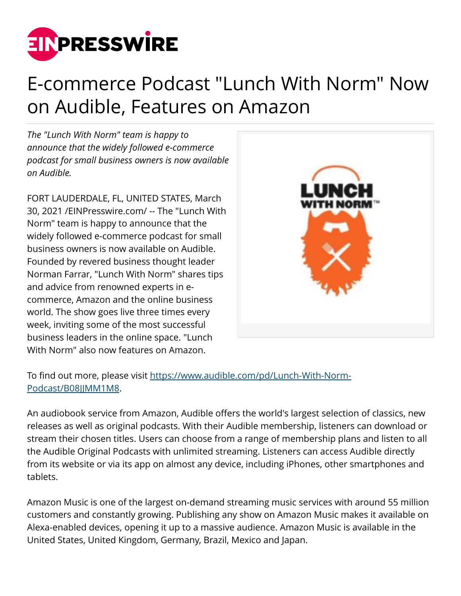

## E-commerce Podcast "Lunch With Norm" Now on Audible, Features on Amazon

*The "Lunch With Norm" team is happy to announce that the widely followed e-commerce podcast for small business owners is now available on Audible.* 

FORT LAUDERDALE, FL, UNITED STATES, March 30, 2021 /[EINPresswire.com/](http://www.einpresswire.com) -- The "Lunch With Norm" team is happy to announce that the widely followed e-commerce podcast for small business owners is now available on Audible. Founded by revered business thought leader Norman Farrar, "Lunch With Norm" shares tips and advice from renowned experts in ecommerce, Amazon and the online business world. The show goes live three times every week, inviting some of the most successful business leaders in the online space. "Lunch With Norm" also now features on Amazon.



To find out more, please visit [https://www.audible.com/pd/Lunch-With-Norm-](https://c212.net/c/link/?t=0&l=en&o=3109508-1&h=93210677&u=https%3A%2F%2Fwww.audible.com%2Fpd%2FLunch-With-Norm-Podcast%2FB08JJMM1M8&a=https%3A%2F%2Fwww.audible.com%2Fpd%2FLunch-With-Norm-Podcast%2FB08JJMM1M8)[Podcast/B08JJMM1M8.](https://c212.net/c/link/?t=0&l=en&o=3109508-1&h=93210677&u=https%3A%2F%2Fwww.audible.com%2Fpd%2FLunch-With-Norm-Podcast%2FB08JJMM1M8&a=https%3A%2F%2Fwww.audible.com%2Fpd%2FLunch-With-Norm-Podcast%2FB08JJMM1M8)

An audiobook service from Amazon, Audible offers the world's largest selection of classics, new releases as well as original podcasts. With their Audible membership, listeners can download or stream their chosen titles. Users can choose from a range of membership plans and listen to all the Audible Original Podcasts with unlimited streaming. Listeners can access Audible directly from its website or via its app on almost any device, including iPhones, other smartphones and tablets.

Amazon Music is one of the largest on-demand streaming music services with around 55 million customers and constantly growing. Publishing any show on Amazon Music makes it available on Alexa-enabled devices, opening it up to a massive audience. Amazon Music is available in the United States, United Kingdom, Germany, Brazil, Mexico and Japan.